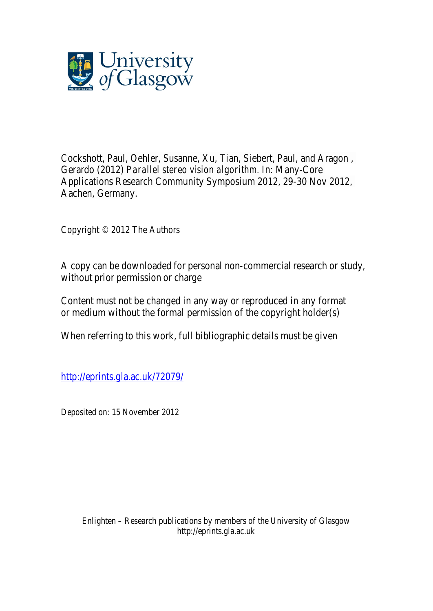

Cockshott, Paul, Oehler, Susanne, Xu, Tian, Siebert, Paul, and Aragon , Gerardo (2012) *Parallel stereo vision algorithm.* In: Many-Core Applications Research Community Symposium 2012, 29-30 Nov 2012, Aachen, Germany.

Copyright © 2012 The Authors

A copy can be downloaded for personal non-commercial research or study, without prior permission or charge

Content must not be changed in any way or reproduced in any format or medium without the formal permission of the copyright holder(s)

When referring to this work, full bibliographic details must be given

http://eprints.gla.ac.uk/72079/

Deposited on: 15 November 2012

Enlighten – Research publications by members of the University of Glasgow http://eprints.gla.ac.uk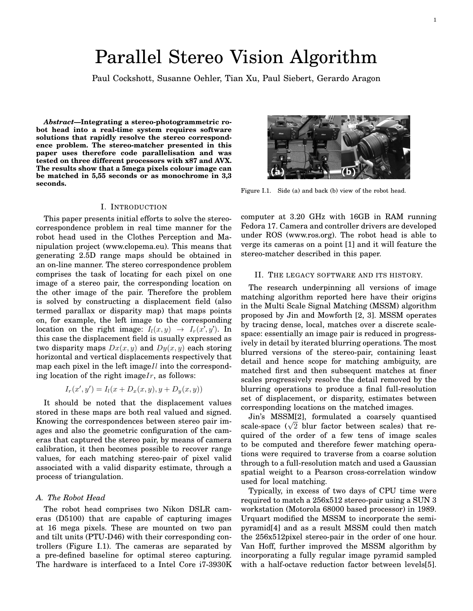# Parallel Stereo Vision Algorithm

Paul Cockshott, Susanne Oehler, Tian Xu, Paul Siebert, Gerardo Aragon

*Abstract***—Integrating a stereo-photogrammetric robot head into a real-time system requires software solutions that rapidly resolve the stereo correspondence problem. The stereo-matcher presented in this paper uses therefore code parallelisation and was tested on three different processors with x87 and AVX. The results show that a 5mega pixels colour image can be matched in 5,55 seconds or as monochrome in 3,3 seconds.**

## I. INTRODUCTION

This paper presents initial efforts to solve the stereocorrespondence problem in real time manner for the robot head used in the Clothes Perception and Manipulation project (www.clopema.eu). This means that generating 2.5D range maps should be obtained in an on-line manner. The stereo correspondence problem comprises the task of locating for each pixel on one image of a stereo pair, the corresponding location on the other image of the pair. Therefore the problem is solved by constructing a displacement field (also termed parallax or disparity map) that maps points on, for example, the left image to the corresponding location on the right image:  $I_l(x,y) \rightarrow I_r(x',y')$ . In this case the displacement field is usually expressed as two disparity maps  $Dx(x, y)$  and  $Dy(x, y)$  each storing horizontal and vertical displacements respectively that map each pixel in the left image*Il* into the corresponding location of the right image*Ir*, as follows:

$$
I_r(x', y') = I_l(x + D_x(x, y), y + D_y(x, y))
$$

It should be noted that the displacement values stored in these maps are both real valued and signed. Knowing the correspondences between stereo pair images and also the geometric configuration of the cameras that captured the stereo pair, by means of camera calibration, it then becomes possible to recover range values, for each matching stereo-pair of pixel valid associated with a valid disparity estimate, through a process of triangulation.

# *A. The Robot Head*

The robot head comprises two Nikon DSLR cameras (D5100) that are capable of capturing images at 16 mega pixels. These are mounted on two pan and tilt units (PTU-D46) with their corresponding controllers (Figure I.1). The cameras are separated by a pre-defined baseline for optimal stereo capturing. The hardware is interfaced to a Intel Core i7-3930K



Figure I.1. Side (a) and back (b) view of the robot head.

computer at 3.20 GHz with 16GB in RAM running Fedora 17. Camera and controller drivers are developed under ROS (www.ros.org). The robot head is able to verge its cameras on a point [1] and it will feature the stereo-matcher described in this paper.

# II. THE LEGACY SOFTWARE AND ITS HISTORY.

The research underpinning all versions of image matching algorithm reported here have their origins in the Multi Scale Signal Matching (MSSM) algorithm proposed by Jin and Mowforth [2, 3]. MSSM operates by tracing dense, local, matches over a discrete scalespace: essentially an image pair is reduced in progressively in detail by iterated blurring operations. The most blurred versions of the stereo-pair, containing least detail and hence scope for matching ambiguity, are matched first and then subsequent matches at finer scales progressively resolve the detail removed by the blurring operations to produce a final full-resolution set of displacement, or disparity, estimates between corresponding locations on the matched images.

Jin's MSSM[2], formulated a coarsely quantised scale-space  $(\sqrt{2}$  blur factor between scales) that required of the order of a few tens of image scales to be computed and therefore fewer matching operations were required to traverse from a coarse solution through to a full-resolution match and used a Gaussian spatial weight to a Pearson cross-correlation window used for local matching.

Typically, in excess of two days of CPU time were required to match a 256x512 stereo-pair using a SUN 3 workstation (Motorola 68000 based processor) in 1989. Urquart modified the MSSM to incorporate the semipyramid[4] and as a result MSSM could then match the 256x512pixel stereo-pair in the order of one hour. Van Hoff, further improved the MSSM algorithm by incorporating a fully regular image pyramid sampled with a half-octave reduction factor between levels[5].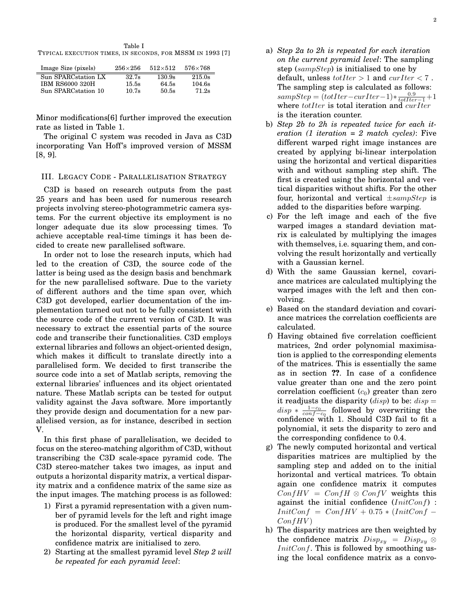Table I TYPICAL EXECUTION TIMES, IN SECONDS, FOR MSSM IN 1993 [7]

| 215.0s<br>130.9s<br>104.6s<br>64.5s<br>71.2s<br>50.5s |
|-------------------------------------------------------|
|                                                       |

Minor modifications[6] further improved the execution rate as listed in Table 1.

The original C system was recoded in Java as C3D incorporating Van Hoff's improved version of MSSM [8, 9].

# III. LEGACY CODE - PARALLELISATION STRATEGY

C3D is based on research outputs from the past 25 years and has been used for numerous research projects involving stereo-photogrammetric camera systems. For the current objective its employment is no longer adequate due its slow processing times. To achieve acceptable real-time timings it has been decided to create new parallelised software.

In order not to lose the research inputs, which had led to the creation of C3D, the source code of the latter is being used as the design basis and benchmark for the new parallelised software. Due to the variety of different authors and the time span over, which C3D got developed, earlier documentation of the implementation turned out not to be fully consistent with the source code of the current version of C3D. It was necessary to extract the essential parts of the source code and transcribe their functionalities. C3D employs external libraries and follows an object-oriented design, which makes it difficult to translate directly into a parallelised form. We decided to first transcribe the source code into a set of Matlab scripts, removing the external libraries' influences and its object orientated nature. These Matlab scripts can be tested for output validity against the Java software. More importantly they provide design and documentation for a new parallelised version, as for instance, described in section V.

In this first phase of parallelisation, we decided to focus on the stereo-matching algorithm of C3D, without transcribing the C3D scale-space pyramid code. The C3D stereo-matcher takes two images, as input and outputs a horizontal disparity matrix, a vertical disparity matrix and a confidence matrix of the same size as the input images. The matching process is as followed:

- 1) First a pyramid representation with a given number of pyramid levels for the left and right image is produced. For the smallest level of the pyramid the horizontal disparity, vertical disparity and confidence matrix are initialised to zero.
- 2) Starting at the smallest pyramid level *Step 2 will be repeated for each pyramid level*:
- a) *Step 2a to 2h is repeated for each iteration on the current pyramid level*: The sampling step (*sampStep*) is initialised to one by default, unless *totIter >* 1 and *curIter <* 7 . The sampling step is calculated as follows:  $\frac{0.9}{t_0 \cdot 1} + 1$ where *totIter* is total iteration and *curIter* is the iteration counter.
- b) *Step 2b to 2h is repeated twice for each iteration (1 iteration = 2 match cycles)*: Five different warped right image instances are created by applying bi-linear interpolation using the horizontal and vertical disparities with and without sampling step shift. The first is created using the horizontal and vertical disparities without shifts. For the other four, horizontal and vertical *±sampStep* is added to the disparities before warping.
- c) For the left image and each of the five warped images a standard deviation matrix is calculated by multiplying the images with themselves, i.e. squaring them, and convolving the result horizontally and vertically with a Gaussian kernel.
- d) With the same Gaussian kernel, covariance matrices are calculated multiplying the warped images with the left and then convolving.
- e) Based on the standard deviation and covariance matrices the correlation coefficients are calculated.
- f) Having obtained five correlation coefficient matrices, 2nd order polynomial maximisation is applied to the corresponding elements of the matrices. This is essentially the same as in section **??**. In case of a confidence value greater than one and the zero point correlation coefficient  $(c_0)$  greater than zero it readjusts the disparity (*disp*) to be: *disp* =  $disp * \frac{1-c_0}{conf-c_0}$  followed by overwriting the confidence with 1. Should C3D fail to fit a polynomial, it sets the disparity to zero and the corresponding confidence to 0.4.
- g) The newly computed horizontal and vertical disparities matrices are multiplied by the sampling step and added on to the initial horizontal and vertical matrices. To obtain again one confidence matrix it computes  $ConfHV = ConfH \otimes ConfV$  weights this against the initial confidence (*InitConf*) :  $InitConf = ConfHV + 0.75 * (InitConf - ...)$ *ConfHV* )
- h) The disparity matrices are then weighted by the confidence matrix  $Disp_{xy} = Disp_{xy} \otimes$ *InitConf*. This is followed by smoothing using the local confidence matrix as a convo-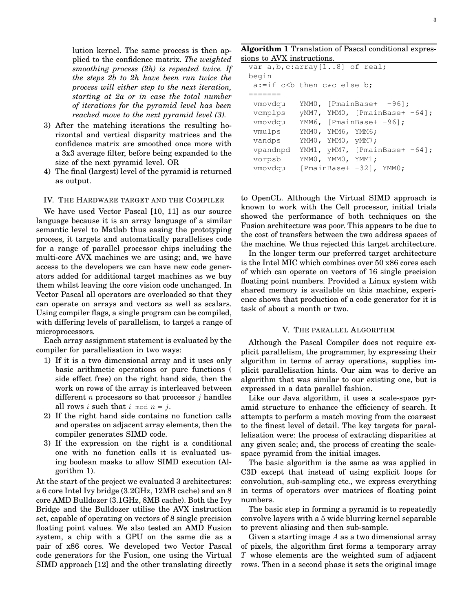lution kernel. The same process is then applied to the confidence matrix. *The weighted smoothing process (2h) is repeated twice. If the steps 2b to 2h have been run twice the process will either step to the next iteration, starting at 2a or in case the total number of iterations for the pyramid level has been reached move to the next pyramid level (3).*

- 3) After the matching iterations the resulting horizontal and vertical disparity matrices and the confidence matrix are smoothed once more with a 3x3 average filter, before being expanded to the size of the next pyramid level. OR
- 4) The final (largest) level of the pyramid is returned as output.

# IV. THE HARDWARE TARGET AND THE COMPILER

We have used Vector Pascal [10, 11] as our source language because it is an array language of a similar semantic level to Matlab thus easing the prototyping process, it targets and automatically parallelises code for a range of parallel processor chips including the multi-core AVX machines we are using; and, we have access to the developers we can have new code generators added for additional target machines as we buy them whilst leaving the core vision code unchanged. In Vector Pascal all operators are overloaded so that they can operate on arrays and vectors as well as scalars. Using compiler flags, a single program can be compiled, with differing levels of parallelism, to target a range of microprocessors.

Each array assignment statement is evaluated by the compiler for parallelisation in two ways:

- 1) If it is a two dimensional array and it uses only basic arithmetic operations or pure functions ( side effect free) on the right hand side, then the work on rows of the array is interleaved between different *n* processors so that processor *j* handles all rows *i* such that  $i \mod n = j$ .
- 2) If the right hand side contains no function calls and operates on adjacent array elements, then the compiler generates SIMD code.
- 3) If the expression on the right is a conditional one with no function calls it is evaluated using boolean masks to allow SIMD execution (Algorithm 1).

At the start of the project we evaluated 3 architectures: a 6 core Intel Ivy bridge (3.2GHz, 12MB cache) and an 8 core AMD Bulldozer (3.1GHz, 8MB cache). Both the Ivy Bridge and the Bulldozer utilise the AVX instruction set, capable of operating on vectors of 8 single precision floating point values. We also tested an AMD Fusion system, a chip with a GPU on the same die as a pair of x86 cores. We developed two Vector Pascal code generators for the Fusion, one using the Virtual SIMD approach [12] and the other translating directly

**Algorithm 1** Translation of Pascal conditional expressions to AVX instructions.

|          | var $a,b,c:array[18]$ of real;                         |
|----------|--------------------------------------------------------|
| begin    |                                                        |
|          | $a:=$ if c <b b;<="" c*c="" else="" td="" then=""></b> |
|          |                                                        |
| vmovdqu  | YMMO, [PmainBase+ -96];                                |
| vcmplps  | $yMM7$ , $YMM0$ , [PmainBase+ -64];                    |
| vmovdqu  | YMM6, [PmainBase+ -96];                                |
| vmulps   | YMMO, YMM6, YMM6;                                      |
| vandps   | YMMO, YMMO, yMM7;                                      |
| vpandnpd | YMM1, $vMM7$ , [PmainBase+ -64];                       |
| vorpsb   | YMMO, YMMO, YMM1;                                      |
| vmovdqu  | $[PmainBase+ -32]$ , YMMO;                             |

to OpenCL. Although the Virtual SIMD approach is known to work with the Cell processor, initial trials showed the performance of both techniques on the Fusion architecture was poor. This appears to be due to the cost of transfers between the two address spaces of the machine. We thus rejected this target architecture.

In the longer term our preferred target architecture is the Intel MIC which combines over 50 x86 cores each of which can operate on vectors of 16 single precision floating point numbers. Provided a Linux system with shared memory is available on this machine, experience shows that production of a code generator for it is task of about a month or two.

#### V. THE PARALLEL ALGORITHM

Although the Pascal Compiler does not require explicit parallelism, the programmer, by expressing their algorithm in terms of array operations, supplies implicit parallelisation hints. Our aim was to derive an algorithm that was similar to our existing one, but is expressed in a data parallel fashion.

Like our Java algorithm, it uses a scale-space pyramid structure to enhance the efficiency of search. It attempts to perform a match moving from the coarsest to the finest level of detail. The key targets for parallelisation were: the process of extracting disparities at any given scale; and, the process of creating the scalespace pyramid from the initial images.

The basic algorithm is the same as was applied in C3D except that instead of using explicit loops for convolution, sub-sampling etc., we express everything in terms of operators over matrices of floating point numbers.

The basic step in forming a pyramid is to repeatedly convolve layers with a 5 wide blurring kernel separable to prevent aliasing and then sub-sample.

Given a starting image *A* as a two dimensional array of pixels, the algorithm first forms a temporary array *T* whose elements are the weighted sum of adjacent rows. Then in a second phase it sets the original image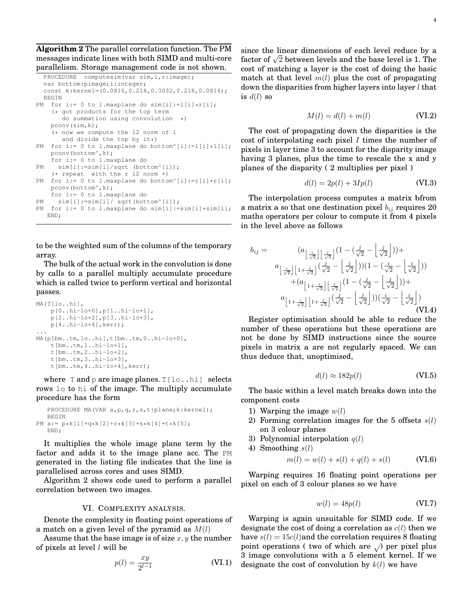**Algorithm 2** The parallel correlation function. The PM messages indicate lines with both SIMD and multi-core parallelism. Storage management code is not shown.

```
PROCEDURE computesim(var sim, 1, r:image);
 var bottom:pimage;i:integer;
  const k:kernel=(0.0816,0.218,0.3032,0.218,0.0816);
 BEGIN
PM for i:= 0 to l.maxplane do sim[i]:=l[i]*r[i];(* got products for the top term
      do summation using convolution *)
   pconv(sim,k);
    (* now we compute the l2 norm of l
      and divide the top by it*)PM for i:= 0 to l.maxplane do bottom^[i]:=l[i]*l[i];
   pconv(bottom^,k);
    for i:= 0 to l.maxplane do
PM sim[i]:=sim[i]/sqrt (bottom^[i]);
    (* repeat with the r l2 norm *)
PM for i:= 0 to l.maxplane do bottom^[i]:=r[i]*r[i];
   pconv(bottom^,k);
    for i:= 0 to l.maxplane do
PM sim[i]:=sim[i]/ sqrt(bottom^[i]);
PM for i:= 0 to l.maxplane do sim[i]:=sim[i]*sim[i];
  END;
```
to be the weighted sum of the columns of the temporary array.

The bulk of the actual work in the convolution is done by calls to a parallel multiply accumulate procedure which is called twice to perform vertical and horizontal passes.

```
MA(T[lo..hi],
    p[0..hi-lo+0],p[1..hi-lo+1],
    p[2..hi-lo+2],p[3..hi-lo+3],
    p[4..hi-10+4],kerr);
...
MA(p[bm..tm,lo..hi],t[bm..tm,0..hi-lo+0],
    t[bm..tm,1..hi-lo+1],
    t[bm..tm,2..hi-lo+2],
    t[bm..tm,3..hi-lo+3],
    t[bm..tm,4..hi-lo+4],kerr);
```
where  $T$  and  $p$  are image planes.  $T[10..h]$  selects rows lo to hi of the image. The multiply accumulate procedure has the form

```
PROCEDURE MA(VAR a,p,q,r,s,t:plane;k:kernel);
   BEGIN
PM a := p * k[1] + q * k[2] + r * k[3] + s * k[4] + t * k[5];
   END;
```
It multiplies the whole image plane term by the factor and adds it to the image plane acc. The PM generated in the listing file indicates that the line is parallelised across cores and uses SIMD.

Algorithm 2 shows code used to perform a parallel correlation between two images.

# VI. COMPLEXITY ANALYSIS.

Denote the complexity in floating point operations of a match on a given level of the pyramid as *M*(*l*)

Assume that the base image is of size *x, y* the number of pixels at level *l* will be

$$
p(l) = \frac{xy}{2^{l-1}} \tag{VI.1}
$$

since the linear dimensions of each level reduce by a factor of  $\sqrt{2}$  between levels and the base level is 1. The cost of matching a layer is the cost of doing the basic match at that level  $m(l)$  plus the cost of propagating down the disparities from higher layers into layer *l* that is  $d(l)$  so

$$
M(l) = d(l) + m(l)
$$
 (VI.2)

The cost of propagating down the disparities is the cost of interpolating each pixel *I* times the number of pixels in layer time 3 to account for the disparity image having 3 planes, plus the time to rescale the x and y planes of the disparity ( 2 multiplies per pixel )

$$
d(l) = 2p(l) + 3Ip(l)
$$
 (VI.3)

The interpolation process computes a matrix bfrom a matrix a so that one destination pixel  $b_{ij}$  requires 20 maths operators per colour to compute it from 4 pixels in the level above as follows

$$
b_{ij} = (a_{\left\lfloor \frac{i}{\sqrt{2}} \right\rfloor} \left\lfloor \frac{j}{\sqrt{2}} \right\rfloor (1 - (\frac{j}{\sqrt{2}} - \left\lfloor \frac{j}{\sqrt{2}} \right\rfloor)) +
$$
  
\n
$$
a_{\left\lfloor \frac{i}{\sqrt{2}} \right\rfloor \left\lfloor 1 + \frac{j}{\sqrt{2}} \right\rfloor} (\frac{j}{\sqrt{2}} - \left\lfloor \frac{j}{\sqrt{2}} \right\rfloor) (1 - (\frac{i}{\sqrt{2}} - \left\lfloor \frac{i}{\sqrt{2}} \right\rfloor)) + (a_{\left\lfloor 1 + \frac{j}{\sqrt{2}} \right\rfloor \left\lfloor \frac{j}{\sqrt{2}} \right\rfloor} (1 - (\frac{j}{\sqrt{2}} - \left\lfloor \frac{j}{\sqrt{2}} \right\rfloor)) +
$$
  
\n
$$
a_{\left\lfloor 1 + \frac{i}{\sqrt{2}} \right\rfloor \left\lfloor 1 + \frac{j}{\sqrt{2}} \right\rfloor} (\frac{j}{\sqrt{2}} - \left\lfloor \frac{j}{\sqrt{2}} \right\rfloor) ) (\frac{i}{\sqrt{2}} - \left\lfloor \frac{j}{\sqrt{2}} \right\rfloor)
$$
  
\n(VI.4)

Register optimisation should be able to reduce the number of these operations but these operations are not be done by SIMD instructions since the source pixels in matrix a are not regularly spaced. We can thus deduce that, unoptimised,

$$
d(l) \approx 182p(l) \tag{VI.5}
$$

The basic within a level match breaks down into the component costs

- 1) Warping the image  $w(l)$
- 2) Forming correlation images for the 5 offsets *s*(*l*) on 3 colour planes
- 3) Polynomial interpolation *q*(*l*)
- 4) Smoothing *s*(*l*)

$$
m(l) = w(l) + s(l) + q(l) + s(l)
$$
 (VI.6)

Warping requires 16 floating point operations per pixel on each of 3 colour planes so we have

$$
w(l) = 48p(l) \tag{VI.7}
$$

Warping is again unsuitable for SIMD code. If we designate the cost of doing a correlation as *c*(*l*) then we have  $s(l) = 15c(l)$  and the correlation requires 8 floating point operations ( two of which are  $\sqrt{\ }$ ) per pixel plus 3 image convolutions with a 5 element kernel. If we designate the cost of convolution by *k*(*l*) we have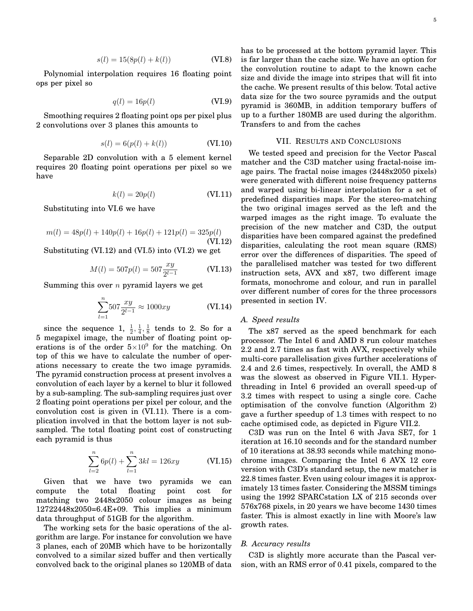$$
s(l) = 15(8p(l) + k(l))
$$
 (VI.8)

Polynomial interpolation requires 16 floating point ops per pixel so

$$
q(l) = 16p(l) \tag{VI.9}
$$

Smoothing requires 2 floating point ops per pixel plus 2 convolutions over 3 planes this amounts to

$$
s(l) = 6(p(l) + k(l))
$$
 (VI.10)

Separable 2D convolution with a 5 element kernel requires 20 floating point operations per pixel so we have

$$
k(l) = 20p(l) \tag{VI.11}
$$

Substituting into VI.6 we have

$$
m(l) = 48p(l) + 140p(l) + 16p(l) + 121p(l) = 325p(l)
$$
\n(VI.12)

Substituting (VI.12) and (VI.5) into (VI.2) we get

$$
M(l) = 507p(l) = 507 \frac{xy}{2^{l-1}}
$$
 (VI.13)

Summing this over *n* pyramid layers we get

$$
\sum_{l=1}^{n} 507 \frac{xy}{2^{l-1}} \approx 1000xy
$$
 (VI.14)

since the sequence 1,  $\frac{1}{2}$ ,  $\frac{1}{4}$ ,  $\frac{1}{8}$  tends to 2. So for a 5 megapixel image, the number of floating point operations is of the order  $5\times10^9$  for the matching. On top of this we have to calculate the number of operations necessary to create the two image pyramids. The pyramid construction process at present involves a convolution of each layer by a kernel to blur it followed by a sub-sampling. The sub-sampling requires just over 2 floating point operations per pixel per colour, and the convolution cost is given in (VI.11). There is a complication involved in that the bottom layer is not subsampled. The total floating point cost of constructing each pyramid is thus

$$
\sum_{l=2}^{n} 6p(l) + \sum_{l=1}^{n} 3kl = 126xy
$$
 (VI.15)

Given that we have two pyramids we can compute the total floating point cost for matching two 2448x2050 colour images as being 12722448x2050=6.4E+09. This implies a minimum data throughput of 51GB for the algorithm.

The working sets for the basic operations of the algorithm are large. For instance for convolution we have 3 planes, each of 20MB which have to be horizontally convolved to a similar sized buffer and then vertically convolved back to the original planes so 120MB of data has to be processed at the bottom pyramid layer. This is far larger than the cache size. We have an option for the convolution routine to adapt to the known cache size and divide the image into stripes that will fit into the cache. We present results of this below. Total active data size for the two source pyramids and the output pyramid is 360MB, in addition temporary buffers of up to a further 180MB are used during the algorithm. Transfers to and from the caches

# VII. RESULTS AND CONCLUSIONS

We tested speed and precision for the Vector Pascal matcher and the C3D matcher using fractal-noise image pairs. The fractal noise images (2448x2050 pixels) were generated with different noise frequency patterns and warped using bi-linear interpolation for a set of predefined disparities maps. For the stereo-matching the two original images served as the left and the warped images as the right image. To evaluate the precision of the new matcher and C3D, the output disparities have been compared against the predefined disparities, calculating the root mean square (RMS) error over the differences of disparities. The speed of the parallelised matcher was tested for two different instruction sets, AVX and x87, two different image formats, monochrome and colour, and run in parallel over different number of cores for the three processors presented in section IV.

## *A. Speed results*

The x87 served as the speed benchmark for each processor. The Intel 6 and AMD 8 run colour matches 2.2 and 2.7 times as fast with AVX, respectively while multi-core parallelisation gives further accelerations of 2.4 and 2.6 times, respectively. In overall, the AMD 8 was the slowest as observed in Figure VII.1. Hyperthreading in Intel 6 provided an overall speed-up of 3.2 times with respect to using a single core. Cache optimisation of the convolve function (Algorithm 2) gave a further speedup of 1.3 times with respect to no cache optimised code, as depicted in Figure VII.2.

C3D was run on the Intel 6 with Java SE7, for 1 iteration at 16.10 seconds and for the standard number of 10 iterations at 38.93 seconds while matching monochrome images. Comparing the Intel 6 AVX 12 core version with C3D's standard setup, the new matcher is 22.8 times faster. Even using colour images it is approximately 13 times faster. Considering the MSSM timings using the 1992 SPARCstation LX of 215 seconds over 576x768 pixels, in 20 years we have become 1430 times faster. This is almost exactly in line with Moore's law growth rates.

# *B. Accuracy results*

C3D is slightly more accurate than the Pascal version, with an RMS error of 0.41 pixels, compared to the